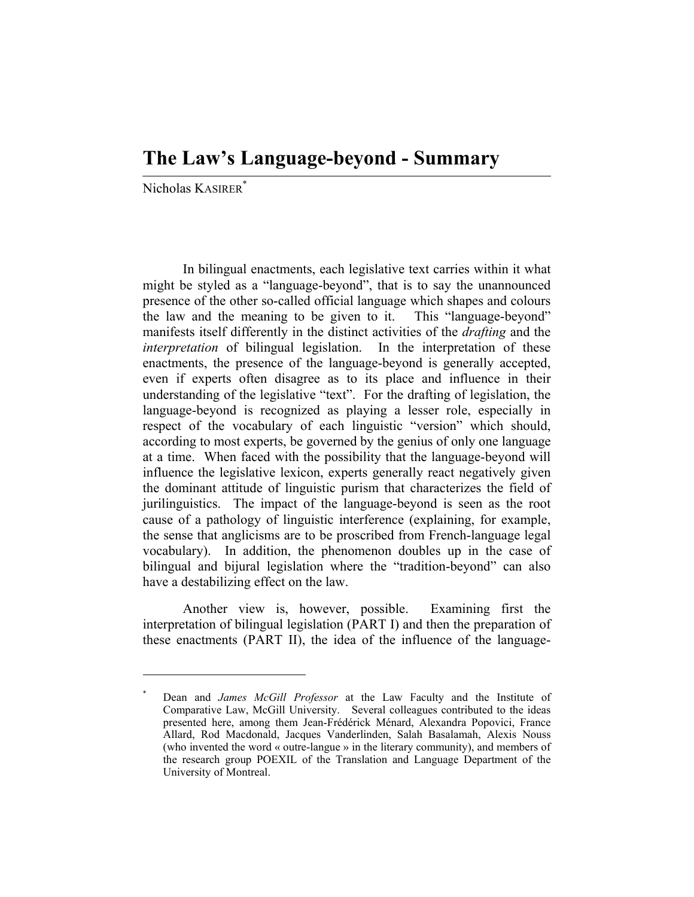## **The Law's Language-beyond - Summary**

Nicholas KASIRER\*

 In bilingual enactments, each legislative text carries within it what might be styled as a "language-beyond", that is to say the unannounced presence of the other so-called official language which shapes and colours the law and the meaning to be given to it. This "language-beyond" manifests itself differently in the distinct activities of the *drafting* and the *interpretation* of bilingual legislation. In the interpretation of these enactments, the presence of the language-beyond is generally accepted, even if experts often disagree as to its place and influence in their understanding of the legislative "text". For the drafting of legislation, the language-beyond is recognized as playing a lesser role, especially in respect of the vocabulary of each linguistic "version" which should, according to most experts, be governed by the genius of only one language at a time. When faced with the possibility that the language-beyond will influence the legislative lexicon, experts generally react negatively given the dominant attitude of linguistic purism that characterizes the field of jurilinguistics. The impact of the language-beyond is seen as the root cause of a pathology of linguistic interference (explaining, for example, the sense that anglicisms are to be proscribed from French-language legal vocabulary). In addition, the phenomenon doubles up in the case of bilingual and bijural legislation where the "tradition-beyond" can also have a destabilizing effect on the law.

 Another view is, however, possible. Examining first the interpretation of bilingual legislation (PART I) and then the preparation of these enactments (PART II), the idea of the influence of the language-

<sup>\*</sup> Dean and *James McGill Professor* at the Law Faculty and the Institute of Comparative Law, McGill University. Several colleagues contributed to the ideas presented here, among them Jean-Frédérick Ménard, Alexandra Popovici, France Allard, Rod Macdonald, Jacques Vanderlinden, Salah Basalamah, Alexis Nouss (who invented the word « outre-langue » in the literary community), and members of the research group POEXIL of the Translation and Language Department of the University of Montreal.